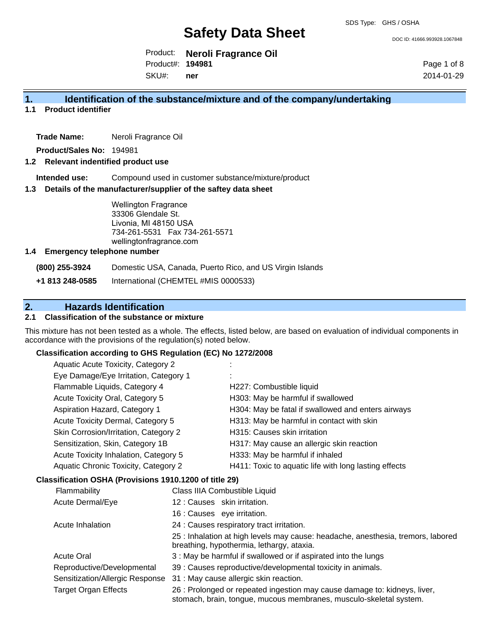DOC ID: 41666.993928.1067848

Product: **Neroli Fragrance Oil** Product#: **194981**

SKU#: **ner** Page 1 of 8 2014-01-29

## **1. Identification of the substance/mixture and of the company/undertaking**

**1.1 Product identifier**

**Trade Name:** Neroli Fragrance Oil

**Product/Sales No:** 194981

#### **1.2 Relevant indentified product use**

**Intended use:** Compound used in customer substance/mixture/product

#### **1.3 Details of the manufacturer/supplier of the saftey data sheet**

Wellington Fragrance 33306 Glendale St. Livonia, MI 48150 USA 734-261-5531 Fax 734-261-5571 wellingtonfragrance.com

#### **1.4 Emergency telephone number**

**(800) 255-3924** Domestic USA, Canada, Puerto Rico, and US Virgin Islands

**+1 813 248-0585** International (CHEMTEL #MIS 0000533)

# **2. Hazards Identification**

### **2.1 Classification of the substance or mixture**

This mixture has not been tested as a whole. The effects, listed below, are based on evaluation of individual components in accordance with the provisions of the regulation(s) noted below.

#### **Classification according to GHS Regulation (EC) No 1272/2008**

| Aquatic Acute Toxicity, Category 2    |                                                       |
|---------------------------------------|-------------------------------------------------------|
| Eye Damage/Eye Irritation, Category 1 |                                                       |
| Flammable Liquids, Category 4         | H227: Combustible liquid                              |
| Acute Toxicity Oral, Category 5       | H303: May be harmful if swallowed                     |
| Aspiration Hazard, Category 1         | H304: May be fatal if swallowed and enters airways    |
| Acute Toxicity Dermal, Category 5     | H313: May be harmful in contact with skin             |
| Skin Corrosion/Irritation, Category 2 | H315: Causes skin irritation                          |
| Sensitization, Skin, Category 1B      | H317: May cause an allergic skin reaction             |
| Acute Toxicity Inhalation, Category 5 | H333: May be harmful if inhaled                       |
| Aquatic Chronic Toxicity, Category 2  | H411: Toxic to aquatic life with long lasting effects |
|                                       |                                                       |

#### **Classification OSHA (Provisions 1910.1200 of title 29)**

| <b>Flammability</b>             | Class IIIA Combustible Liquid                                                                                                                   |
|---------------------------------|-------------------------------------------------------------------------------------------------------------------------------------------------|
| Acute Dermal/Eye                | 12: Causes skin irritation.                                                                                                                     |
|                                 | 16 : Causes eye irritation.                                                                                                                     |
| Acute Inhalation                | 24 : Causes respiratory tract irritation.                                                                                                       |
|                                 | 25 : Inhalation at high levels may cause: headache, anesthesia, tremors, labored<br>breathing, hypothermia, lethargy, ataxia.                   |
| <b>Acute Oral</b>               | 3 : May be harmful if swallowed or if aspirated into the lungs                                                                                  |
| Reproductive/Developmental      | 39 : Causes reproductive/developmental toxicity in animals.                                                                                     |
| Sensitization/Allergic Response | 31 : May cause allergic skin reaction.                                                                                                          |
| <b>Target Organ Effects</b>     | 26 : Prolonged or repeated ingestion may cause damage to: kidneys, liver,<br>stomach, brain, tongue, mucous membranes, musculo-skeletal system. |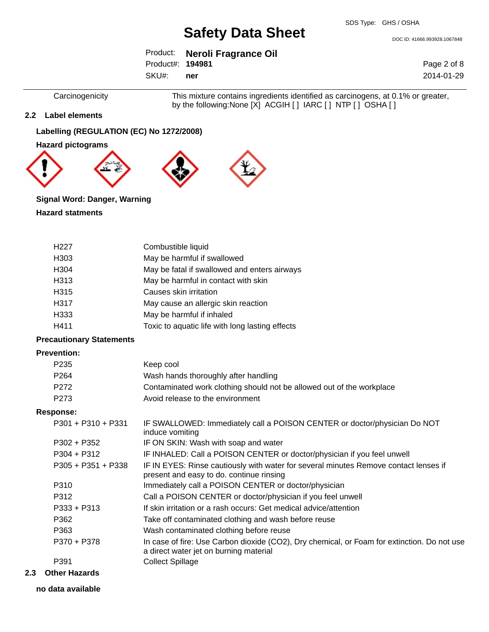DOC ID: 41666.993928.1067848

|                  | Product: Neroli Fragrance Oil |
|------------------|-------------------------------|
| Product#: 194981 |                               |

SKU#: **ner** Page 2 of 8 2014-01-29

Carcinogenicity This mixture contains ingredients identified as carcinogens, at 0.1% or greater, by the following:None [X] ACGIH [ ] IARC [ ] NTP [ ] OSHA [ ]

#### **2.2 Label elements**

## **Labelling (REGULATION (EC) No 1272/2008)**

**Hazard pictograms**



## **Signal Word: Danger, Warning**

#### **Hazard statments**

| H <sub>22</sub> 7 | Combustible liquid                              |
|-------------------|-------------------------------------------------|
| H <sub>303</sub>  | May be harmful if swallowed                     |
| H304              | May be fatal if swallowed and enters airways    |
| H313              | May be harmful in contact with skin             |
| H315              | Causes skin irritation                          |
| H317              | May cause an allergic skin reaction             |
| H333              | May be harmful if inhaled                       |
| H411              | Toxic to aquatic life with long lasting effects |

### **Precautionary Statements**

#### **Prevention:**

|     | P <sub>235</sub>     | Keep cool                                                                                                                             |
|-----|----------------------|---------------------------------------------------------------------------------------------------------------------------------------|
|     | P <sub>264</sub>     | Wash hands thoroughly after handling                                                                                                  |
|     | P272                 | Contaminated work clothing should not be allowed out of the workplace                                                                 |
|     | P273                 | Avoid release to the environment                                                                                                      |
|     | <b>Response:</b>     |                                                                                                                                       |
|     | P301 + P310 + P331   | IF SWALLOWED: Immediately call a POISON CENTER or doctor/physician Do NOT<br>induce vomiting                                          |
|     | $P302 + P352$        | IF ON SKIN: Wash with soap and water                                                                                                  |
|     | $P304 + P312$        | IF INHALED: Call a POISON CENTER or doctor/physician if you feel unwell                                                               |
|     | $P305 + P351 + P338$ | IF IN EYES: Rinse cautiously with water for several minutes Remove contact lenses if<br>present and easy to do. continue rinsing      |
|     | P310                 | Immediately call a POISON CENTER or doctor/physician                                                                                  |
|     | P312                 | Call a POISON CENTER or doctor/physician if you feel unwell                                                                           |
|     | $P333 + P313$        | If skin irritation or a rash occurs: Get medical advice/attention                                                                     |
|     | P362                 | Take off contaminated clothing and wash before reuse                                                                                  |
|     | P363                 | Wash contaminated clothing before reuse                                                                                               |
|     | P370 + P378          | In case of fire: Use Carbon dioxide (CO2), Dry chemical, or Foam for extinction. Do not use<br>a direct water jet on burning material |
|     | P391                 | <b>Collect Spillage</b>                                                                                                               |
| 2.3 | <b>Other Hazards</b> |                                                                                                                                       |

# **no data available**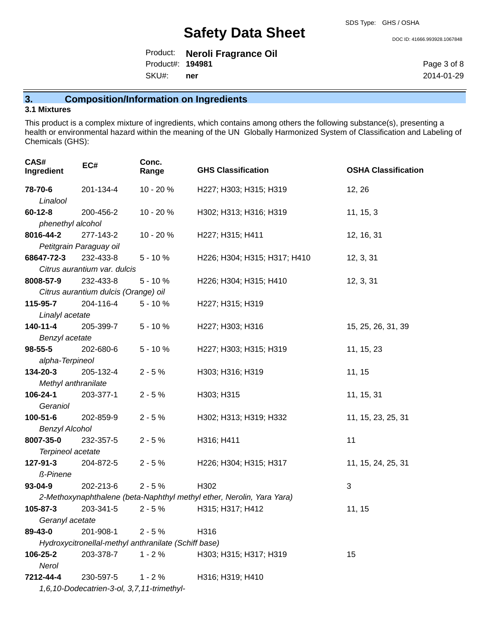DOC ID: 41666.993928.1067848

Product: **Neroli Fragrance Oil** SKU#: Product#: **194981 ner**

Page 3 of 8 2014-01-29

# **3. Composition/Information on Ingredients**

#### **3.1 Mixtures**

This product is a complex mixture of ingredients, which contains among others the following substance(s), presenting a health or environmental hazard within the meaning of the UN Globally Harmonized System of Classification and Labeling of Chemicals (GHS):

| CAS#<br>Ingredient          | EC#                                        | Conc.<br>Range                                       | <b>GHS Classification</b>                                             | <b>OSHA Classification</b> |
|-----------------------------|--------------------------------------------|------------------------------------------------------|-----------------------------------------------------------------------|----------------------------|
| 78-70-6                     | 201-134-4                                  | 10 - 20 %                                            | H227; H303; H315; H319                                                | 12, 26                     |
| Linalool                    |                                            |                                                      |                                                                       |                            |
| $60 - 12 - 8$               | 200-456-2                                  | 10 - 20 %                                            | H302; H313; H316; H319                                                | 11, 15, 3                  |
| phenethyl alcohol           |                                            |                                                      |                                                                       |                            |
| 8016-44-2                   | 277-143-2                                  | 10 - 20 %                                            | H227; H315; H411                                                      | 12, 16, 31                 |
|                             | Petitgrain Paraguay oil                    |                                                      |                                                                       |                            |
| 68647-72-3                  | 232-433-8                                  | $5 - 10%$                                            | H226; H304; H315; H317; H410                                          | 12, 3, 31                  |
|                             | Citrus aurantium var. dulcis               |                                                      |                                                                       |                            |
| 8008-57-9                   | 232-433-8                                  | $5 - 10%$                                            | H226; H304; H315; H410                                                | 12, 3, 31                  |
|                             | Citrus aurantium dulcis (Orange) oil       |                                                      |                                                                       |                            |
| 115-95-7                    | 204-116-4                                  | $5 - 10%$                                            | H227; H315; H319                                                      |                            |
| Linalyl acetate<br>140-11-4 | 205-399-7                                  | $5 - 10%$                                            | H227; H303; H316                                                      | 15, 25, 26, 31, 39         |
| Benzyl acetate              |                                            |                                                      |                                                                       |                            |
| $98 - 55 - 5$               | 202-680-6                                  | $5 - 10%$                                            | H227; H303; H315; H319                                                | 11, 15, 23                 |
| alpha-Terpineol             |                                            |                                                      |                                                                       |                            |
| 134-20-3                    | 205-132-4                                  | $2 - 5%$                                             | H303; H316; H319                                                      | 11, 15                     |
| Methyl anthranilate         |                                            |                                                      |                                                                       |                            |
| 106-24-1                    | 203-377-1                                  | $2 - 5%$                                             | H303; H315                                                            | 11, 15, 31                 |
| Geraniol                    |                                            |                                                      |                                                                       |                            |
| $100 - 51 - 6$              | 202-859-9                                  | $2 - 5%$                                             | H302; H313; H319; H332                                                | 11, 15, 23, 25, 31         |
| <b>Benzyl Alcohol</b>       |                                            |                                                      |                                                                       |                            |
| 8007-35-0                   | 232-357-5                                  | $2 - 5%$                                             | H316; H411                                                            | 11                         |
| Terpineol acetate           |                                            |                                                      |                                                                       |                            |
| 127-91-3                    | 204-872-5                                  | $2 - 5%$                                             | H226; H304; H315; H317                                                | 11, 15, 24, 25, 31         |
| ß-Pinene                    |                                            |                                                      |                                                                       |                            |
| $93 - 04 - 9$               | 202-213-6                                  | $2 - 5%$                                             | H302                                                                  | 3                          |
|                             |                                            |                                                      | 2-Methoxynaphthalene (beta-Naphthyl methyl ether, Nerolin, Yara Yara) |                            |
| 105-87-3<br>Geranyl acetate | 203-341-5                                  | $2 - 5%$                                             | H315; H317; H412                                                      | 11, 15                     |
| 89-43-0                     | 201-908-1                                  | $2 - 5%$                                             | H316                                                                  |                            |
|                             |                                            | Hydroxycitronellal-methyl anthranilate (Schiff base) |                                                                       |                            |
| 106-25-2                    | 203-378-7                                  | $1 - 2%$                                             | H303; H315; H317; H319                                                | 15                         |
| Nerol                       |                                            |                                                      |                                                                       |                            |
| 7212-44-4                   | 230-597-5                                  | $1 - 2%$                                             | H316; H319; H410                                                      |                            |
|                             | 1,6,10-Dodecatrien-3-ol, 3,7,11-trimethyl- |                                                      |                                                                       |                            |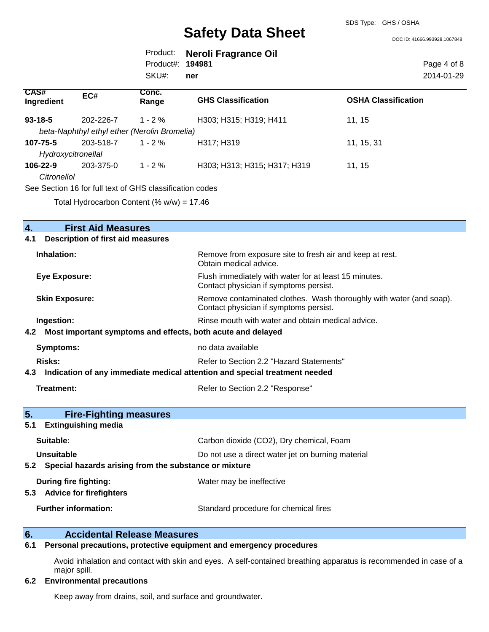SDS Type: GHS / OSHA

|                                |                                                          |                       |                                                                                                               | DOC ID: 41666.993928.1067848 |
|--------------------------------|----------------------------------------------------------|-----------------------|---------------------------------------------------------------------------------------------------------------|------------------------------|
|                                |                                                          | Product:<br>Product#: | <b>Neroli Fragrance Oil</b><br>194981                                                                         | Page 4 of 8                  |
|                                |                                                          | SKU#:                 | ner                                                                                                           | 2014-01-29                   |
| CAS#<br>Ingredient             | EC#                                                      | Conc.<br>Range        | <b>GHS Classification</b>                                                                                     | <b>OSHA Classification</b>   |
| $93 - 18 - 5$                  | 202-226-7                                                | $1 - 2%$              | H303; H315; H319; H411                                                                                        | 11, 15                       |
|                                | beta-Naphthyl ethyl ether (Nerolin Bromelia)             |                       |                                                                                                               |                              |
| 107-75-5<br>Hydroxycitronellal | 203-518-7                                                | $1 - 2 \%$            | H317; H319                                                                                                    | 11, 15, 31                   |
| 106-22-9<br><b>Citronellol</b> | 203-375-0                                                | $1 - 2%$              | H303; H313; H315; H317; H319                                                                                  | 11, 15                       |
|                                | See Section 16 for full text of GHS classification codes |                       |                                                                                                               |                              |
|                                | Total Hydrocarbon Content (% $w/w$ ) = 17.46             |                       |                                                                                                               |                              |
|                                |                                                          |                       |                                                                                                               |                              |
| 4.                             | <b>First Aid Measures</b>                                |                       |                                                                                                               |                              |
| 4.1                            | <b>Description of first aid measures</b>                 |                       |                                                                                                               |                              |
| Inhalation:                    |                                                          |                       | Remove from exposure site to fresh air and keep at rest.<br>Obtain medical advice.                            |                              |
| <b>Eye Exposure:</b>           |                                                          |                       | Flush immediately with water for at least 15 minutes.<br>Contact physician if symptoms persist.               |                              |
| <b>Skin Exposure:</b>          |                                                          |                       | Remove contaminated clothes. Wash thoroughly with water (and soap).<br>Contact physician if symptoms persist. |                              |
| Ingestion:                     |                                                          |                       | Rinse mouth with water and obtain medical advice.                                                             |                              |
| 4.2                            |                                                          |                       | Most important symptoms and effects, both acute and delayed                                                   |                              |
| Symptoms:                      |                                                          |                       | no data available                                                                                             |                              |
| <b>Risks:</b>                  |                                                          |                       | Refer to Section 2.2 "Hazard Statements"                                                                      |                              |

**4.3 Indication of any immediate medical attention and special treatment needed**

Treatment: Treatment: Treatment: Refer to Section 2.2 "Response"

| 5.<br><b>Fire-Fighting measures</b>                            |                                                   |
|----------------------------------------------------------------|---------------------------------------------------|
| <b>Extinguishing media</b><br>5.1                              |                                                   |
| Suitable:                                                      | Carbon dioxide (CO2), Dry chemical, Foam          |
| Unsuitable                                                     | Do not use a direct water jet on burning material |
| Special hazards arising from the substance or mixture<br>5.2   |                                                   |
| During fire fighting:<br><b>Advice for firefighters</b><br>5.3 | Water may be ineffective                          |
| <b>Further information:</b>                                    | Standard procedure for chemical fires             |

# **6. Accidental Release Measures**

# **6.1 Personal precautions, protective equipment and emergency procedures**

Avoid inhalation and contact with skin and eyes. A self-contained breathing apparatus is recommended in case of a major spill.

#### **6.2 Environmental precautions**

Keep away from drains, soil, and surface and groundwater.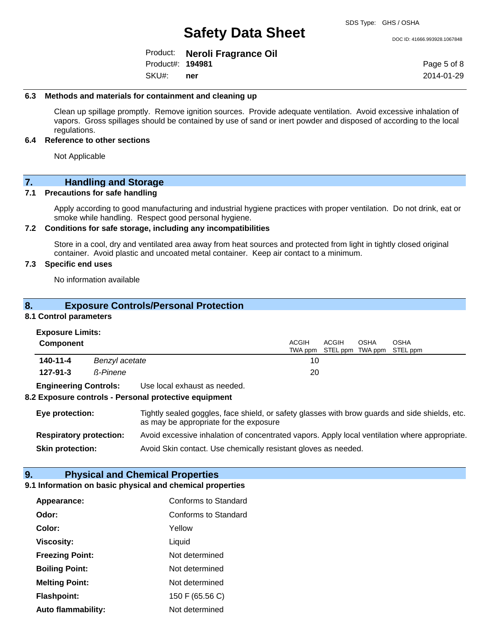DOC ID: 41666.993928.1067848

Product: **Neroli Fragrance Oil** Product#: **194981**

SKU#: **ner** Page 5 of 8 2014-01-29

#### **6.3 Methods and materials for containment and cleaning up**

Clean up spillage promptly. Remove ignition sources. Provide adequate ventilation. Avoid excessive inhalation of vapors. Gross spillages should be contained by use of sand or inert powder and disposed of according to the local regulations.

#### **6.4 Reference to other sections**

Not Applicable

#### **7. Handling and Storage**

#### **7.1 Precautions for safe handling**

Apply according to good manufacturing and industrial hygiene practices with proper ventilation. Do not drink, eat or smoke while handling. Respect good personal hygiene.

#### **7.2 Conditions for safe storage, including any incompatibilities**

Store in a cool, dry and ventilated area away from heat sources and protected from light in tightly closed original container. Avoid plastic and uncoated metal container. Keep air contact to a minimum.

#### **7.3 Specific end uses**

No information available

### **8. Exposure Controls/Personal Protection**

#### **8.1 Control parameters**

| <b>Exposure Limits:</b> |  |
|-------------------------|--|
|-------------------------|--|

| <b>Component</b>             |                              | <b>ACGIH</b> | ACGIH<br>TWA ppm STEL ppm TWA ppm STEL ppm | OSHA | OSHA |
|------------------------------|------------------------------|--------------|--------------------------------------------|------|------|
| 140-11-4                     | Benzyl acetate               | 10           |                                            |      |      |
| $127 - 91 - 3$               | <b>ß-Pinene</b>              | 20           |                                            |      |      |
| <b>Engineering Controls:</b> | Use local exhaust as needed. |              |                                            |      |      |

#### **8.2 Exposure controls - Personal protective equipment**

| Eye protection:                | Tightly sealed goggles, face shield, or safety glasses with brow guards and side shields, etc.<br>as may be appropriate for the exposure |
|--------------------------------|------------------------------------------------------------------------------------------------------------------------------------------|
| <b>Respiratory protection:</b> | Avoid excessive inhalation of concentrated vapors. Apply local ventilation where appropriate.                                            |
| <b>Skin protection:</b>        | Avoid Skin contact. Use chemically resistant gloves as needed.                                                                           |

### **9. Physical and Chemical Properties**

#### **9.1 Information on basic physical and chemical properties**

| Appearance:            | Conforms to Standard        |
|------------------------|-----------------------------|
| Odor:                  | <b>Conforms to Standard</b> |
| Color:                 | Yellow                      |
| <b>Viscosity:</b>      | Liquid                      |
| <b>Freezing Point:</b> | Not determined              |
| <b>Boiling Point:</b>  | Not determined              |
| <b>Melting Point:</b>  | Not determined              |
| <b>Flashpoint:</b>     | 150 F (65.56 C)             |
| Auto flammability:     | Not determined              |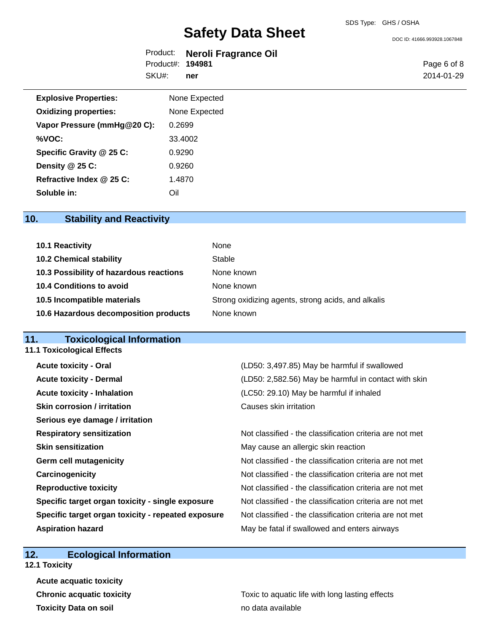DOC ID: 41666.993928.1067848

|                  | Product: Neroli Fragrance Oil |
|------------------|-------------------------------|
| Product#: 194981 |                               |
| SKU#: ner        |                               |

Page 6 of 8 2014-01-29

| <b>Explosive Properties:</b> | None Expected |  |
|------------------------------|---------------|--|
| <b>Oxidizing properties:</b> | None Expected |  |
| Vapor Pressure (mmHg@20 C):  | 0.2699        |  |
| %VOC:                        | 33.4002       |  |
| Specific Gravity @ 25 C:     | 0.9290        |  |
| Density @ 25 C:              | 0.9260        |  |
| Refractive Index @ 25 C:     | 1.4870        |  |
| Soluble in:                  | OII.          |  |

# **10. Stability and Reactivity**

| 10.1 Reactivity                         | None                                               |
|-----------------------------------------|----------------------------------------------------|
| <b>10.2 Chemical stability</b>          | Stable                                             |
| 10.3 Possibility of hazardous reactions | None known                                         |
| 10.4 Conditions to avoid                | None known                                         |
| 10.5 Incompatible materials             | Strong oxidizing agents, strong acids, and alkalis |
| 10.6 Hazardous decomposition products   | None known                                         |

## **11. Toxicological Information**

| <b>11.1 Toxicological Effects</b>                  |                                                          |
|----------------------------------------------------|----------------------------------------------------------|
| <b>Acute toxicity - Oral</b>                       | (LD50: 3,497.85) May be harmful if swallowed             |
| <b>Acute toxicity - Dermal</b>                     | (LD50: 2,582.56) May be harmful in contact with skin     |
| <b>Acute toxicity - Inhalation</b>                 | (LC50: 29.10) May be harmful if inhaled                  |
| <b>Skin corrosion / irritation</b>                 | Causes skin irritation                                   |
| Serious eye damage / irritation                    |                                                          |
| <b>Respiratory sensitization</b>                   | Not classified - the classification criteria are not met |
| <b>Skin sensitization</b>                          | May cause an allergic skin reaction                      |
| <b>Germ cell mutagenicity</b>                      | Not classified - the classification criteria are not met |
| Carcinogenicity                                    | Not classified - the classification criteria are not met |
| <b>Reproductive toxicity</b>                       | Not classified - the classification criteria are not met |
| Specific target organ toxicity - single exposure   | Not classified - the classification criteria are not met |
| Specific target organ toxicity - repeated exposure | Not classified - the classification criteria are not met |
| <b>Aspiration hazard</b>                           | May be fatal if swallowed and enters airways             |
|                                                    |                                                          |

# **12. Ecological Information**

**12.1 Toxicity**

**Acute acquatic toxicity Toxicity Data on soil no data available no data available** 

**Chronic acquatic toxicity Toxic to aquatic life with long lasting effects**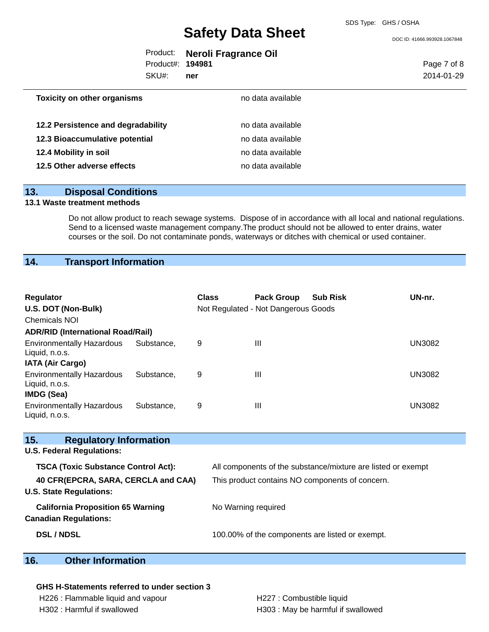DOC ID: 41666.993928.1067848

|                  | Product: Neroli Fragrance Oil |
|------------------|-------------------------------|
| Product#: 194981 |                               |
| SKU#: ner        |                               |

Page 7 of 8 2014-01-29

| <b>Toxicity on other organisms</b> | no data available |  |
|------------------------------------|-------------------|--|
|                                    |                   |  |
| 12.2 Persistence and degradability | no data available |  |
| 12.3 Bioaccumulative potential     | no data available |  |
| 12.4 Mobility in soil              | no data available |  |
| 12.5 Other adverse effects         | no data available |  |

#### **13. Disposal Conditions**

#### **13.1 Waste treatment methods**

Do not allow product to reach sewage systems. Dispose of in accordance with all local and national regulations. Send to a licensed waste management company.The product should not be allowed to enter drains, water courses or the soil. Do not contaminate ponds, waterways or ditches with chemical or used container.

# **14. Transport Information**

| <b>Regulator</b><br>U.S. DOT (Non-Bulk)<br><b>Chemicals NOI</b>       |            | <b>Class</b>                                                 | <b>Pack Group</b><br><b>Sub Risk</b><br>Not Regulated - Not Dangerous Goods |  | UN-nr.        |
|-----------------------------------------------------------------------|------------|--------------------------------------------------------------|-----------------------------------------------------------------------------|--|---------------|
| <b>ADR/RID (International Road/Rail)</b>                              |            |                                                              |                                                                             |  |               |
| <b>Environmentally Hazardous</b><br>Liquid, n.o.s.                    | Substance, | 9                                                            | $\mathbf{III}$                                                              |  | <b>UN3082</b> |
| <b>IATA (Air Cargo)</b>                                               |            |                                                              |                                                                             |  |               |
| <b>Environmentally Hazardous</b><br>Liquid, n.o.s.<br>IMDG (Sea)      | Substance, | 9                                                            | $\mathbf{III}$                                                              |  | <b>UN3082</b> |
| <b>Environmentally Hazardous</b><br>Liquid, n.o.s.                    | Substance, | 9                                                            | $\mathbf{III}$                                                              |  | <b>UN3082</b> |
| 15.<br><b>Regulatory Information</b>                                  |            |                                                              |                                                                             |  |               |
| <b>U.S. Federal Regulations:</b>                                      |            |                                                              |                                                                             |  |               |
| <b>TSCA (Toxic Substance Control Act):</b>                            |            | All components of the substance/mixture are listed or exempt |                                                                             |  |               |
| 40 CFR(EPCRA, SARA, CERCLA and CAA)<br><b>U.S. State Regulations:</b> |            |                                                              | This product contains NO components of concern.                             |  |               |
| <b>California Proposition 65 Warning</b>                              |            | No Warning required                                          |                                                                             |  |               |

# **DSL / NDSL** 100.00% of the components are listed or exempt.

## **16. Other Information**

**Canadian Regulations:**

#### **GHS H-Statements referred to under section 3**

H226 : Flammable liquid and vapour **H227** : Combustible liquid H302 : Harmful if swallowed H303 : May be harmful if swallowed